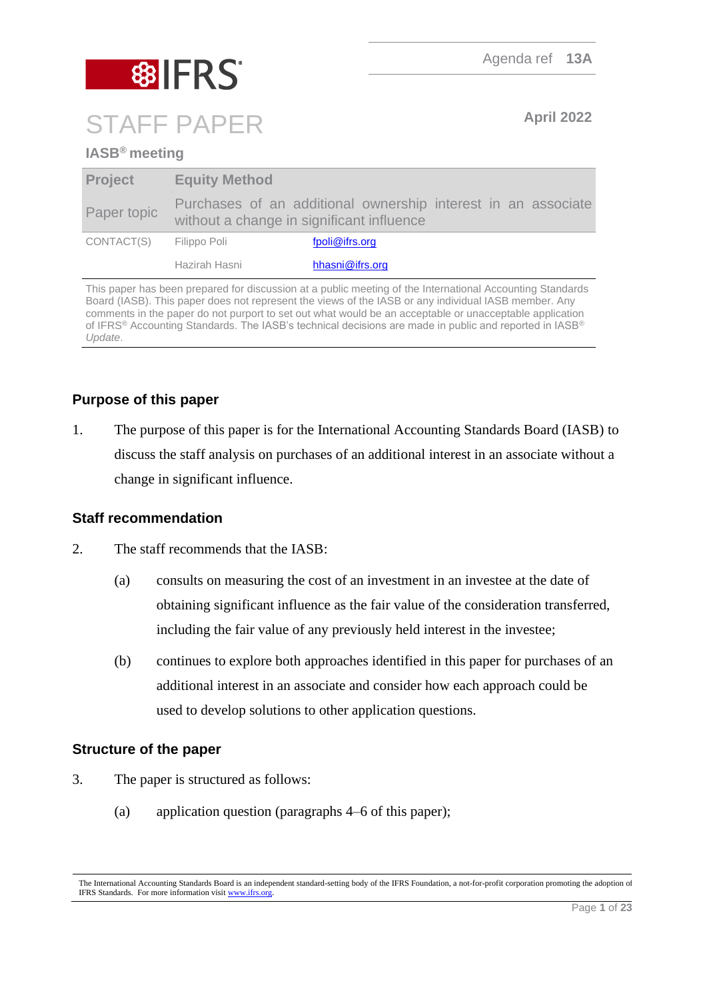Agenda ref **13A**

# **8 FRS** STAFF PAPER **April 2022**

## **IASB® meeting**

| <b>Project</b> | <b>Equity Method</b>                      |                                                               |
|----------------|-------------------------------------------|---------------------------------------------------------------|
| Paper topic    | without a change in significant influence | Purchases of an additional ownership interest in an associate |
| CONTACT(S)     | Filippo Poli                              | fpoli@ifrs.org                                                |
|                | Hazirah Hasni                             | hhasni@ifrs.org                                               |

This paper has been prepared for discussion at a public meeting of the International Accounting Standards Board (IASB). This paper does not represent the views of the IASB or any individual IASB member. Any comments in the paper do not purport to set out what would be an acceptable or unacceptable application of IFRS® Accounting Standards. The IASB's technical decisions are made in public and reported in IASB® *Update*.

## **Purpose of this paper**

1. The purpose of this paper is for the International Accounting Standards Board (IASB) to discuss the staff analysis on purchases of an additional interest in an associate without a change in significant influence.

## **Staff recommendation**

- 2. The staff recommends that the IASB:
	- (a) consults on measuring the cost of an investment in an investee at the date of obtaining significant influence as the fair value of the consideration transferred, including the fair value of any previously held interest in the investee;
	- (b) continues to explore both approaches identified in this paper for purchases of an additional interest in an associate and consider how each approach could be used to develop solutions to other application questions.

## **Structure of the paper**

- 3. The paper is structured as follows:
	- (a) application question (paragraphs [4–](#page-1-0)[6](#page-1-1) of this paper);

The International Accounting Standards Board is an independent standard-setting body of the IFRS Foundation, a not-for-profit corporation promoting the adoption of IFRS Standards. For more information visi[t www.ifrs.org.](http://www.ifrs.org/)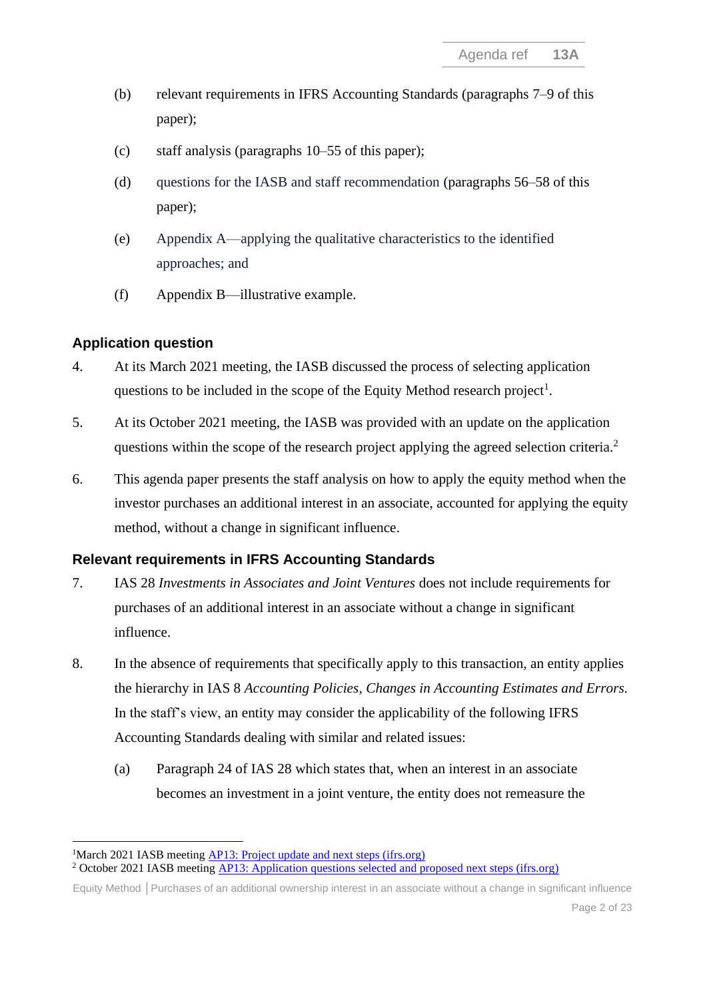- (b) relevant requirements in IFRS Accounting Standards (paragraphs [7–](#page-1-2)[9](#page-2-0) of this paper);
- (c) staff analysis (paragraphs [10](#page-3-0)[–55](#page-14-0) of this paper);
- (d) questions for the IASB and staff recommendation (paragraphs [56](#page-15-0)[–58](#page-15-1) of this paper);
- (e) Appendix A—applying the qualitative characteristics to the identified approaches; and
- (f) Appendix B—illustrative example.

## **Application question**

- <span id="page-1-0"></span>4. At its March 2021 meeting, the IASB discussed the process of selecting application questions to be included in the scope of the Equity Method research project<sup>1</sup>.
- 5. At its October 2021 meeting, the IASB was provided with an update on the application questions within the scope of the research project applying the agreed selection criteria.<sup>2</sup>
- <span id="page-1-1"></span>6. This agenda paper presents the staff analysis on how to apply the equity method when the investor purchases an additional interest in an associate, accounted for applying the equity method, without a change in significant influence.

## **Relevant requirements in IFRS Accounting Standards**

- <span id="page-1-2"></span>7. IAS 28 *Investments in Associates and Joint Ventures* does not include requirements for purchases of an additional interest in an associate without a change in significant influence.
- 8. In the absence of requirements that specifically apply to this transaction, an entity applies the hierarchy in IAS 8 *Accounting Policies, Changes in Accounting Estimates and Errors.*  In the staff's view, an entity may consider the applicability of the following IFRS Accounting Standards dealing with similar and related issues:
	- (a) Paragraph 24 of IAS 28 which states that, when an interest in an associate becomes an investment in a joint venture, the entity does not remeasure the

<sup>&</sup>lt;sup>1</sup>March 2021 IASB meeting [AP13: Project update and next steps \(ifrs.org\)](https://www.ifrs.org/content/dam/ifrs/meetings/2021/march/iasb/ap13-equity-method.pdf)

<sup>&</sup>lt;sup>2</sup> October 2021 IASB meeting [AP13: Application questions selected and proposed next steps \(ifrs.org\)](https://www.ifrs.org/content/dam/ifrs/meetings/2021/october/iasb/ap13-equity-method.pdf)

Equity Method **│**Purchases of an additional ownership interest in an associate without a change in significant influence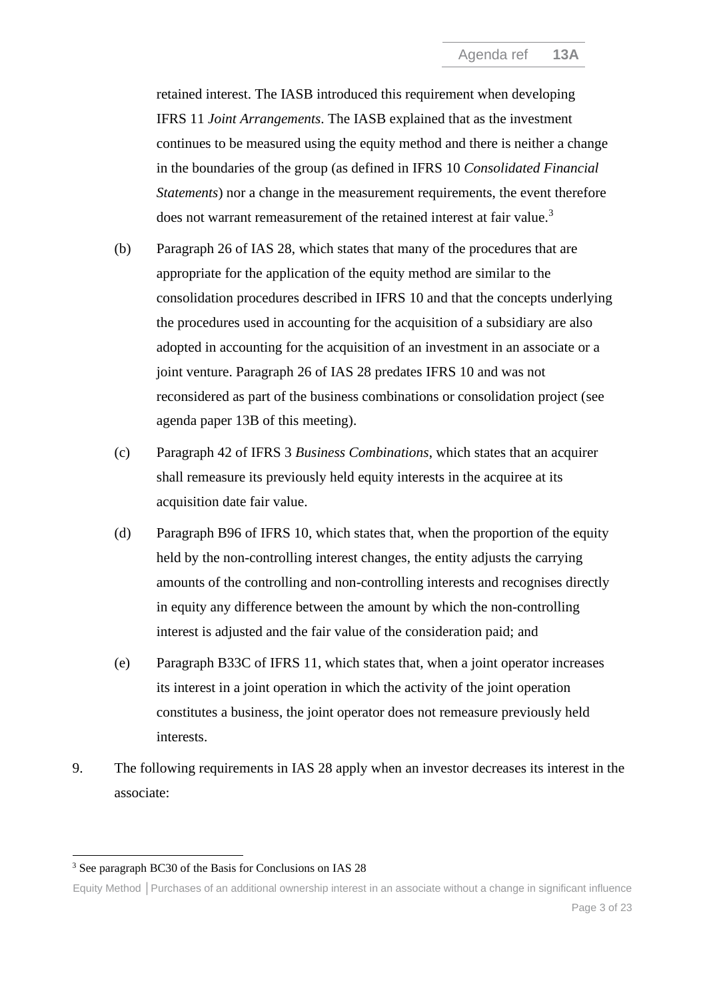retained interest. The IASB introduced this requirement when developing IFRS 11 *Joint Arrangements*. The IASB explained that as the investment continues to be measured using the equity method and there is neither a change in the boundaries of the group (as defined in IFRS 10 *Consolidated Financial Statements*) nor a change in the measurement requirements, the event therefore does not warrant remeasurement of the retained interest at fair value.<sup>3</sup>

- (b) Paragraph 26 of IAS 28, which states that many of the procedures that are appropriate for the application of the equity method are similar to the consolidation procedures described in IFRS 10 and that the concepts underlying the procedures used in accounting for the acquisition of a subsidiary are also adopted in accounting for the acquisition of an investment in an associate or a joint venture. Paragraph 26 of IAS 28 predates IFRS 10 and was not reconsidered as part of the business combinations or consolidation project (see agenda paper 13B of this meeting).
- (c) Paragraph 42 of IFRS 3 *Business Combinations*, which states that an acquirer shall remeasure its previously held equity interests in the acquiree at its acquisition date fair value.
- (d) Paragraph B96 of IFRS 10, which states that, when the proportion of the equity held by the non-controlling interest changes, the entity adjusts the carrying amounts of the controlling and non-controlling interests and recognises directly in equity any difference between the amount by which the non-controlling interest is adjusted and the fair value of the consideration paid; and
- (e) Paragraph B33C of IFRS 11, which states that, when a joint operator increases its interest in a joint operation in which the activity of the joint operation constitutes a business, the joint operator does not remeasure previously held interests.
- <span id="page-2-0"></span>9. The following requirements in IAS 28 apply when an investor decreases its interest in the associate:

<sup>3</sup> See paragraph BC30 of the Basis for Conclusions on IAS 28

Equity Method **│**Purchases of an additional ownership interest in an associate without a change in significant influence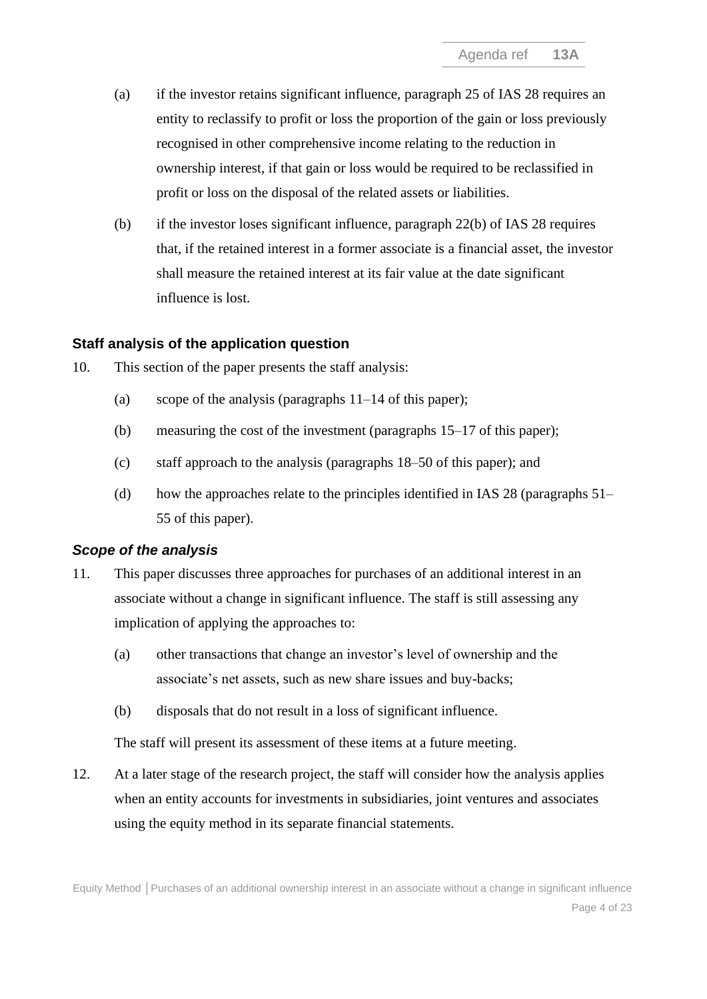- (a) if the investor retains significant influence, paragraph 25 of IAS 28 requires an entity to reclassify to profit or loss the proportion of the gain or loss previously recognised in other comprehensive income relating to the reduction in ownership interest, if that gain or loss would be required to be reclassified in profit or loss on the disposal of the related assets or liabilities.
- (b) if the investor loses significant influence, paragraph 22(b) of IAS 28 requires that, if the retained interest in a former associate is a financial asset, the investor shall measure the retained interest at its fair value at the date significant influence is lost.

#### **Staff analysis of the application question**

- <span id="page-3-0"></span>10. This section of the paper presents the staff analysis:
	- (a) scope of the analysis (paragraphs  $11-14$  of this paper);
	- (b) measuring the cost of the investment (paragraphs [15–](#page-4-1)[17](#page-5-0) of this paper);
	- (c) staff approach to the analysis (paragraphs [18](#page-5-1)[–50](#page-13-0) of this paper); and
	- (d) how the approaches relate to the principles identified in IAS 28 (paragraphs [51–](#page-14-1) [55](#page-14-0) of this paper).

#### *Scope of the analysis*

- <span id="page-3-1"></span>11. This paper discusses three approaches for purchases of an additional interest in an associate without a change in significant influence. The staff is still assessing any implication of applying the approaches to:
	- (a) other transactions that change an investor's level of ownership and the associate's net assets, such as new share issues and buy-backs;
	- (b) disposals that do not result in a loss of significant influence.

The staff will present its assessment of these items at a future meeting.

12. At a later stage of the research project, the staff will consider how the analysis applies when an entity accounts for investments in subsidiaries, joint ventures and associates using the equity method in its separate financial statements.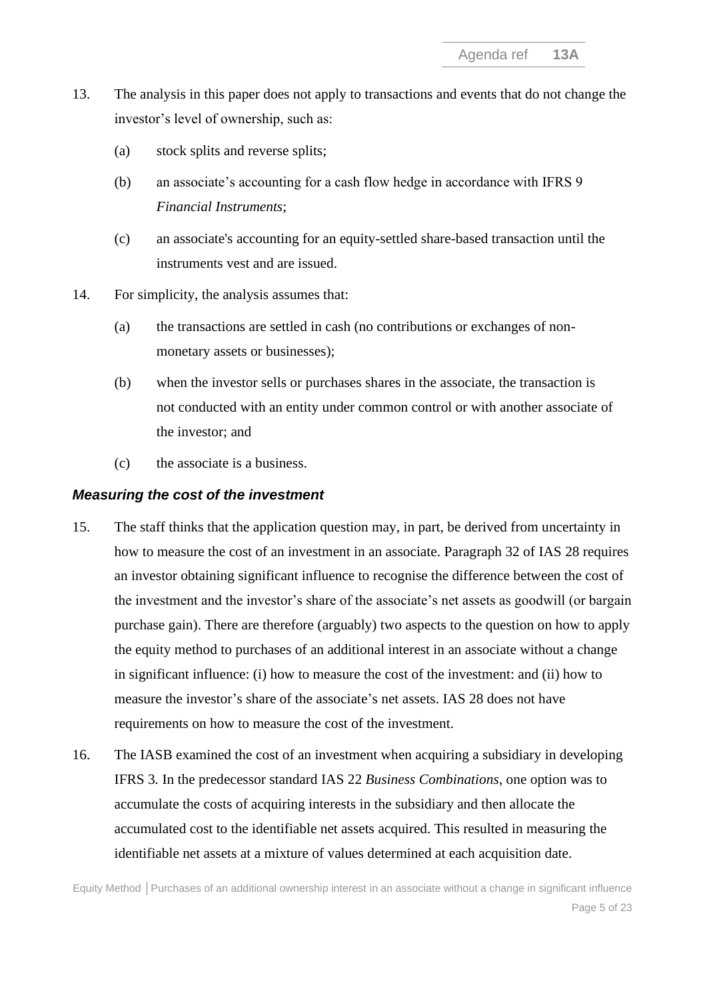- 13. The analysis in this paper does not apply to transactions and events that do not change the investor's level of ownership, such as:
	- (a) stock splits and reverse splits;
	- (b) an associate's accounting for a cash flow hedge in accordance with IFRS 9 *Financial Instruments*;
	- (c) an associate's accounting for an equity-settled share-based transaction until the instruments vest and are issued.
- <span id="page-4-0"></span>14. For simplicity, the analysis assumes that:
	- (a) the transactions are settled in cash (no contributions or exchanges of nonmonetary assets or businesses);
	- (b) when the investor sells or purchases shares in the associate, the transaction is not conducted with an entity under common control or with another associate of the investor; and
	- (c) the associate is a business.

#### *Measuring the cost of the investment*

- <span id="page-4-1"></span>15. The staff thinks that the application question may, in part, be derived from uncertainty in how to measure the cost of an investment in an associate. Paragraph 32 of IAS 28 requires an investor obtaining significant influence to recognise the difference between the cost of the investment and the investor's share of the associate's net assets as goodwill (or bargain purchase gain). There are therefore (arguably) two aspects to the question on how to apply the equity method to purchases of an additional interest in an associate without a change in significant influence: (i) how to measure the cost of the investment: and (ii) how to measure the investor's share of the associate's net assets. IAS 28 does not have requirements on how to measure the cost of the investment.
- 16. The IASB examined the cost of an investment when acquiring a subsidiary in developing IFRS 3*.* In the predecessor standard IAS 22 *Business Combinations*, one option was to accumulate the costs of acquiring interests in the subsidiary and then allocate the accumulated cost to the identifiable net assets acquired. This resulted in measuring the identifiable net assets at a mixture of values determined at each acquisition date.

Equity Method **│**Purchases of an additional ownership interest in an associate without a change in significant influence Page 5 of 23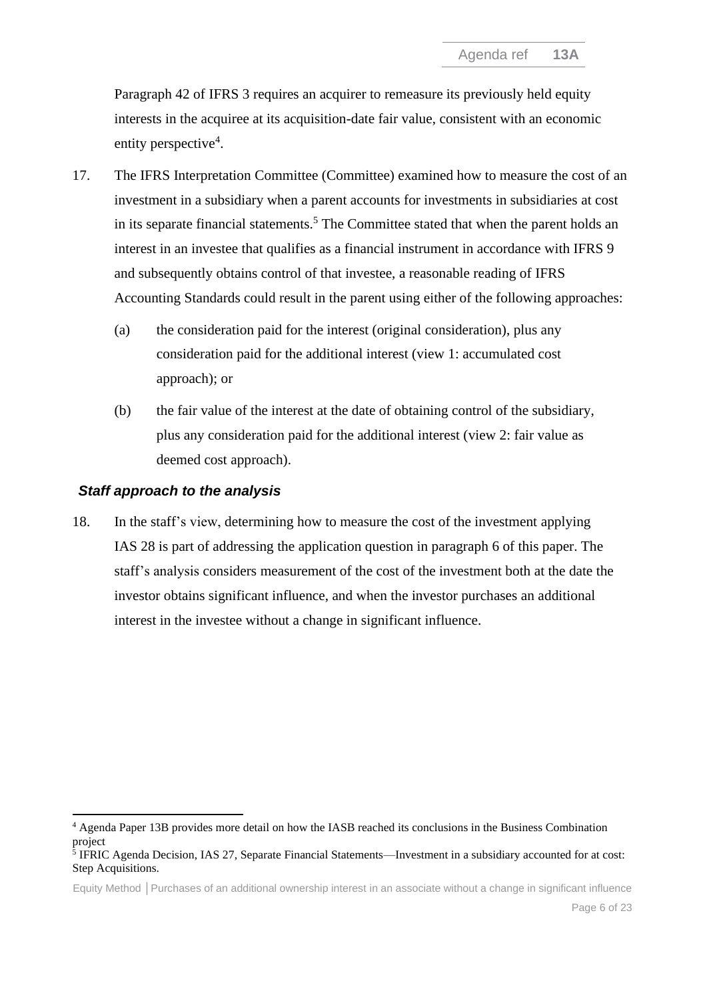<span id="page-5-0"></span>Paragraph 42 of IFRS 3 requires an acquirer to remeasure its previously held equity interests in the acquiree at its acquisition-date fair value, consistent with an economic entity perspective<sup>4</sup>.

- 17. The IFRS Interpretation Committee (Committee) examined how to measure the cost of an investment in a subsidiary when a parent accounts for investments in subsidiaries at cost in its separate financial statements.<sup>5</sup> The Committee stated that when the parent holds an interest in an investee that qualifies as a financial instrument in accordance with IFRS 9 and subsequently obtains control of that investee, a reasonable reading of IFRS Accounting Standards could result in the parent using either of the following approaches:
	- (a) the consideration paid for the interest (original consideration), plus any consideration paid for the additional interest (view 1: accumulated cost approach); or
	- (b) the fair value of the interest at the date of obtaining control of the subsidiary, plus any consideration paid for the additional interest (view 2: fair value as deemed cost approach).

#### <span id="page-5-2"></span>*Staff approach to the analysis*

<span id="page-5-1"></span>18. In the staff's view, determining how to measure the cost of the investment applying IAS 28 is part of addressing the application question in paragraph [6](#page-1-1) of this paper. The staff's analysis considers measurement of the cost of the investment both at the date the investor obtains significant influence, and when the investor purchases an additional interest in the investee without a change in significant influence.

Equity Method **│**Purchases of an additional ownership interest in an associate without a change in significant influence

<sup>4</sup> Agenda Paper 13B provides more detail on how the IASB reached its conclusions in the Business Combination project

<sup>&</sup>lt;sup>5</sup> IFRIC Agenda Decision, IAS 27, Separate Financial Statements—Investment in a subsidiary accounted for at cost: Step Acquisitions.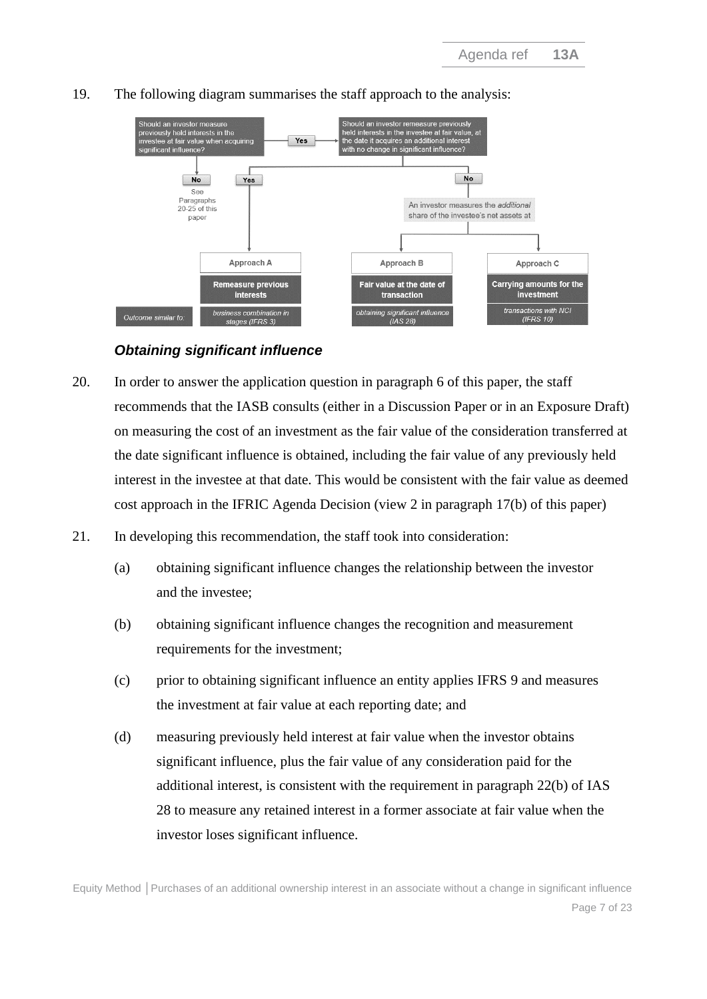

#### 19. The following diagram summarises the staff approach to the analysis:

## *Obtaining significant influence*

- <span id="page-6-0"></span>20. In order to answer the application question in paragraph 6 of this paper, the staff recommends that the IASB consults (either in a Discussion Paper or in an Exposure Draft) on measuring the cost of an investment as the fair value of the consideration transferred at the date significant influence is obtained, including the fair value of any previously held interest in the investee at that date. This would be consistent with the fair value as deemed cost approach in the IFRIC Agenda Decision (view 2 in paragraph [17\(b\)](#page-5-2) of this paper)
- 21. In developing this recommendation, the staff took into consideration:
	- (a) obtaining significant influence changes the relationship between the investor and the investee;
	- (b) obtaining significant influence changes the recognition and measurement requirements for the investment;
	- (c) prior to obtaining significant influence an entity applies IFRS 9 and measures the investment at fair value at each reporting date; and
	- (d) measuring previously held interest at fair value when the investor obtains significant influence, plus the fair value of any consideration paid for the additional interest, is consistent with the requirement in paragraph 22(b) of IAS 28 to measure any retained interest in a former associate at fair value when the investor loses significant influence.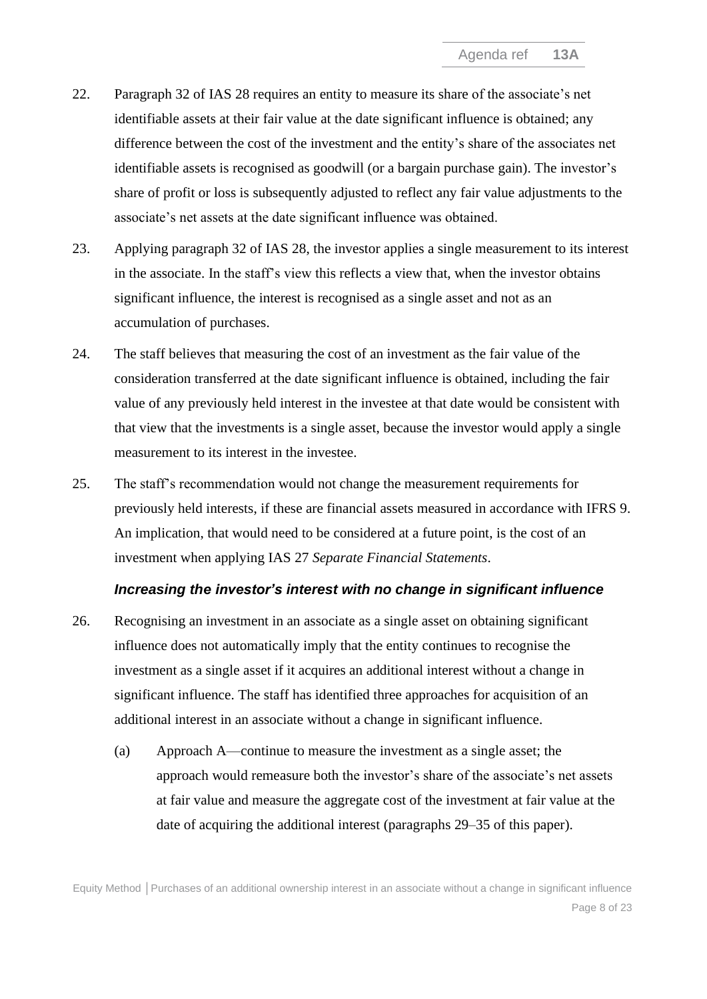- 22. Paragraph 32 of IAS 28 requires an entity to measure its share of the associate's net identifiable assets at their fair value at the date significant influence is obtained; any difference between the cost of the investment and the entity's share of the associates net identifiable assets is recognised as goodwill (or a bargain purchase gain). The investor's share of profit or loss is subsequently adjusted to reflect any fair value adjustments to the associate's net assets at the date significant influence was obtained.
- 23. Applying paragraph 32 of IAS 28, the investor applies a single measurement to its interest in the associate. In the staff's view this reflects a view that, when the investor obtains significant influence, the interest is recognised as a single asset and not as an accumulation of purchases.
- 24. The staff believes that measuring the cost of an investment as the fair value of the consideration transferred at the date significant influence is obtained, including the fair value of any previously held interest in the investee at that date would be consistent with that view that the investments is a single asset, because the investor would apply a single measurement to its interest in the investee.
- 25. The staff's recommendation would not change the measurement requirements for previously held interests, if these are financial assets measured in accordance with IFRS 9. An implication, that would need to be considered at a future point, is the cost of an investment when applying IAS 27 *Separate Financial Statements*.

#### *Increasing the investor's interest with no change in significant influence*

- 26. Recognising an investment in an associate as a single asset on obtaining significant influence does not automatically imply that the entity continues to recognise the investment as a single asset if it acquires an additional interest without a change in significant influence. The staff has identified three approaches for acquisition of an additional interest in an associate without a change in significant influence.
	- (a) Approach A—continue to measure the investment as a single asset; the approach would remeasure both the investor's share of the associate's net assets at fair value and measure the aggregate cost of the investment at fair value at the date of acquiring the additional interest (paragraphs [29–](#page-9-0)[35](#page-10-0) of this paper).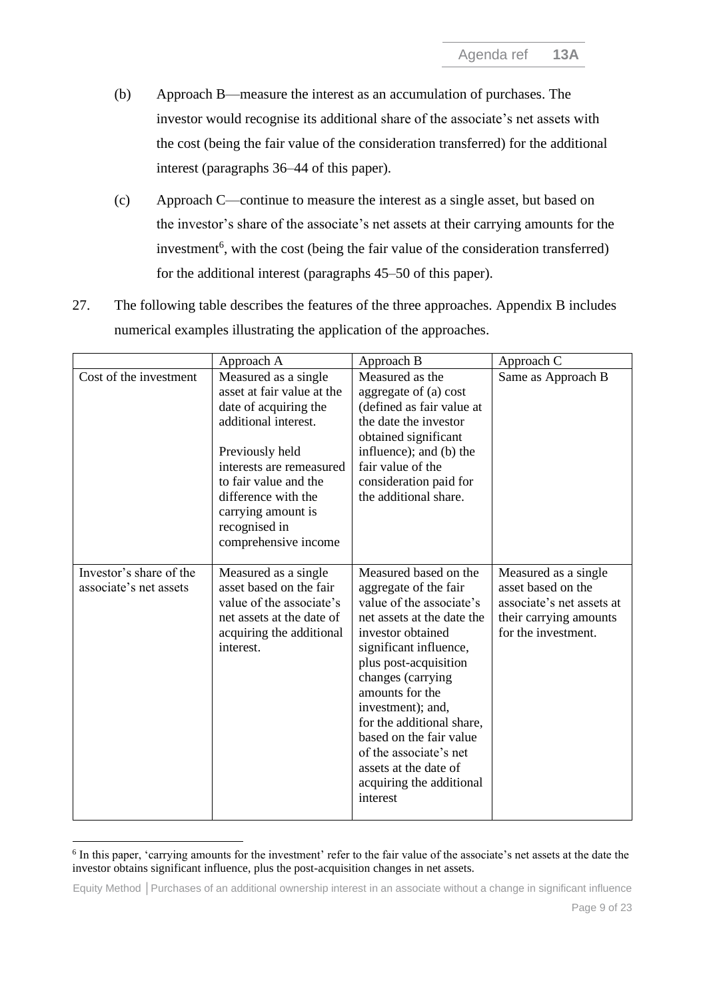- (b) Approach B—measure the interest as an accumulation of purchases. The investor would recognise its additional share of the associate's net assets with the cost (being the fair value of the consideration transferred) for the additional interest (paragraphs [36–](#page-11-0)[44](#page-12-0) of this paper).
- (c) Approach C—continue to measure the interest as a single asset, but based on the investor's share of the associate's net assets at their carrying amounts for the investment<sup>6</sup>, with the cost (being the fair value of the consideration transferred) for the additional interest (paragraphs [45–](#page-13-1)[50](#page-13-0) of this paper).
- 27. The following table describes the features of the three approaches. Appendix B includes numerical examples illustrating the application of the approaches.

|                                                   | Approach A                                                                                                                                                                                                                                                        | Approach B                                                                                                                                                                                                                                                                                                                                                                                       | Approach C                                                                                                               |
|---------------------------------------------------|-------------------------------------------------------------------------------------------------------------------------------------------------------------------------------------------------------------------------------------------------------------------|--------------------------------------------------------------------------------------------------------------------------------------------------------------------------------------------------------------------------------------------------------------------------------------------------------------------------------------------------------------------------------------------------|--------------------------------------------------------------------------------------------------------------------------|
| Cost of the investment                            | Measured as a single<br>asset at fair value at the<br>date of acquiring the<br>additional interest.<br>Previously held<br>interests are remeasured<br>to fair value and the<br>difference with the<br>carrying amount is<br>recognised in<br>comprehensive income | Measured as the<br>aggregate of (a) cost<br>(defined as fair value at<br>the date the investor<br>obtained significant<br>influence); and (b) the<br>fair value of the<br>consideration paid for<br>the additional share.                                                                                                                                                                        | Same as Approach B                                                                                                       |
| Investor's share of the<br>associate's net assets | Measured as a single<br>asset based on the fair<br>value of the associate's<br>net assets at the date of<br>acquiring the additional<br>interest.                                                                                                                 | Measured based on the<br>aggregate of the fair<br>value of the associate's<br>net assets at the date the<br>investor obtained<br>significant influence,<br>plus post-acquisition<br>changes (carrying<br>amounts for the<br>investment); and,<br>for the additional share,<br>based on the fair value<br>of the associate's net<br>assets at the date of<br>acquiring the additional<br>interest | Measured as a single<br>asset based on the<br>associate's net assets at<br>their carrying amounts<br>for the investment. |

<sup>&</sup>lt;sup>6</sup> In this paper, 'carrying amounts for the investment' refer to the fair value of the associate's net assets at the date the investor obtains significant influence, plus the post-acquisition changes in net assets.

Equity Method **│**Purchases of an additional ownership interest in an associate without a change in significant influence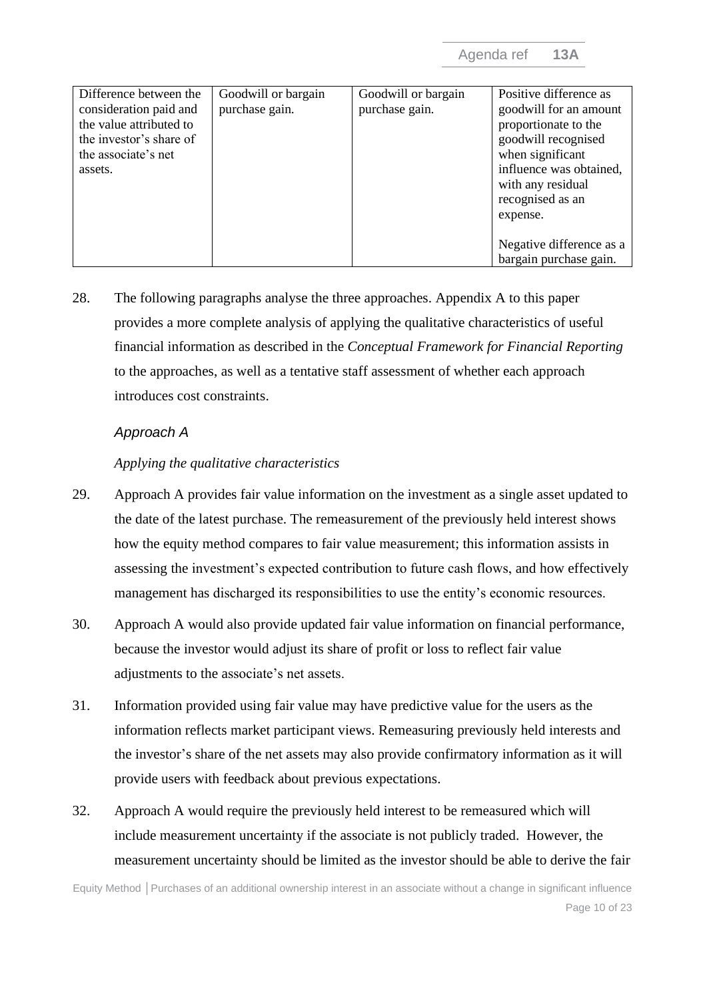| Difference between the<br>consideration paid and<br>the value attributed to<br>the investor's share of<br>the associate's net | Goodwill or bargain<br>purchase gain. | Goodwill or bargain<br>purchase gain. | Positive difference as<br>goodwill for an amount<br>proportionate to the<br>goodwill recognised<br>when significant |
|-------------------------------------------------------------------------------------------------------------------------------|---------------------------------------|---------------------------------------|---------------------------------------------------------------------------------------------------------------------|
| assets.                                                                                                                       |                                       |                                       | influence was obtained,<br>with any residual                                                                        |
|                                                                                                                               |                                       |                                       | recognised as an                                                                                                    |
|                                                                                                                               |                                       |                                       | expense.                                                                                                            |
|                                                                                                                               |                                       |                                       | Negative difference as a                                                                                            |
|                                                                                                                               |                                       |                                       | bargain purchase gain.                                                                                              |

28. The following paragraphs analyse the three approaches. Appendix A to this paper provides a more complete analysis of applying the qualitative characteristics of useful financial information as described in the *Conceptual Framework for Financial Reporting*  to the approaches, as well as a tentative staff assessment of whether each approach introduces cost constraints.

#### *Approach A*

#### *Applying the qualitative characteristics*

- <span id="page-9-0"></span>29. Approach A provides fair value information on the investment as a single asset updated to the date of the latest purchase. The remeasurement of the previously held interest shows how the equity method compares to fair value measurement; this information assists in assessing the investment's expected contribution to future cash flows, and how effectively management has discharged its responsibilities to use the entity's economic resources.
- 30. Approach A would also provide updated fair value information on financial performance, because the investor would adjust its share of profit or loss to reflect fair value adjustments to the associate's net assets.
- 31. Information provided using fair value may have predictive value for the users as the information reflects market participant views. Remeasuring previously held interests and the investor's share of the net assets may also provide confirmatory information as it will provide users with feedback about previous expectations.
- 32. Approach A would require the previously held interest to be remeasured which will include measurement uncertainty if the associate is not publicly traded. However, the measurement uncertainty should be limited as the investor should be able to derive the fair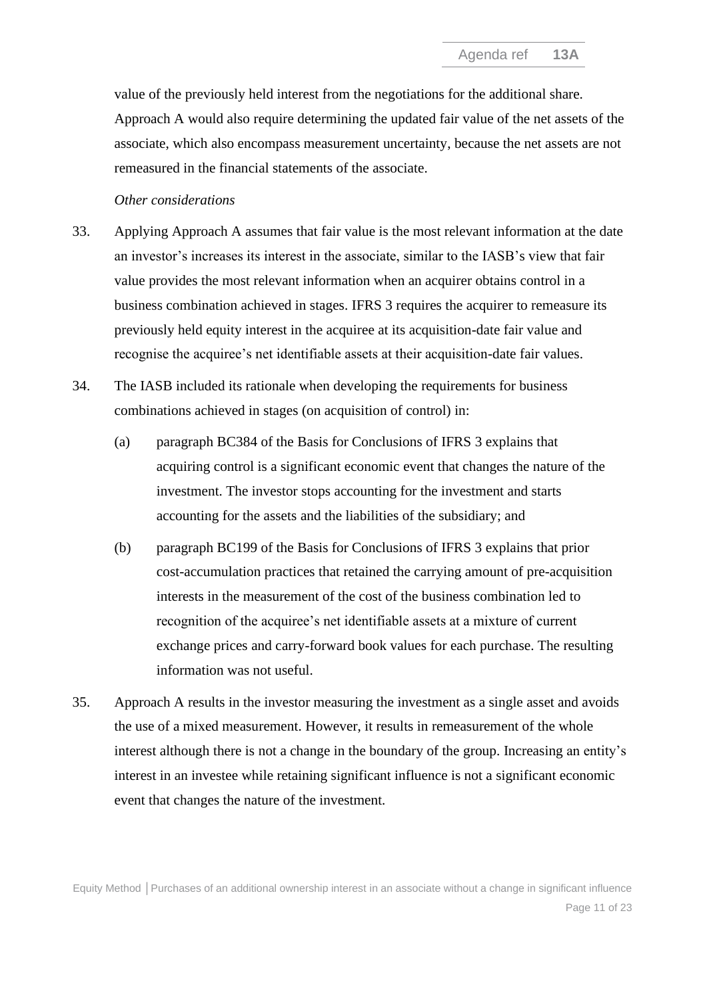value of the previously held interest from the negotiations for the additional share. Approach A would also require determining the updated fair value of the net assets of the associate, which also encompass measurement uncertainty, because the net assets are not remeasured in the financial statements of the associate.

#### *Other considerations*

- 33. Applying Approach A assumes that fair value is the most relevant information at the date an investor's increases its interest in the associate, similar to the IASB's view that fair value provides the most relevant information when an acquirer obtains control in a business combination achieved in stages. IFRS 3 requires the acquirer to remeasure its previously held equity interest in the acquiree at its acquisition-date fair value and recognise the acquiree's net identifiable assets at their acquisition-date fair values.
- 34. The IASB included its rationale when developing the requirements for business combinations achieved in stages (on acquisition of control) in:
	- (a) paragraph BC384 of the Basis for Conclusions of IFRS 3 explains that acquiring control is a significant economic event that changes the nature of the investment. The investor stops accounting for the investment and starts accounting for the assets and the liabilities of the subsidiary; and
	- (b) paragraph BC199 of the Basis for Conclusions of IFRS 3 explains that prior cost-accumulation practices that retained the carrying amount of pre-acquisition interests in the measurement of the cost of the business combination led to recognition of the acquiree's net identifiable assets at a mixture of current exchange prices and carry-forward book values for each purchase. The resulting information was not useful.
- <span id="page-10-0"></span>35. Approach A results in the investor measuring the investment as a single asset and avoids the use of a mixed measurement. However, it results in remeasurement of the whole interest although there is not a change in the boundary of the group. Increasing an entity's interest in an investee while retaining significant influence is not a significant economic event that changes the nature of the investment.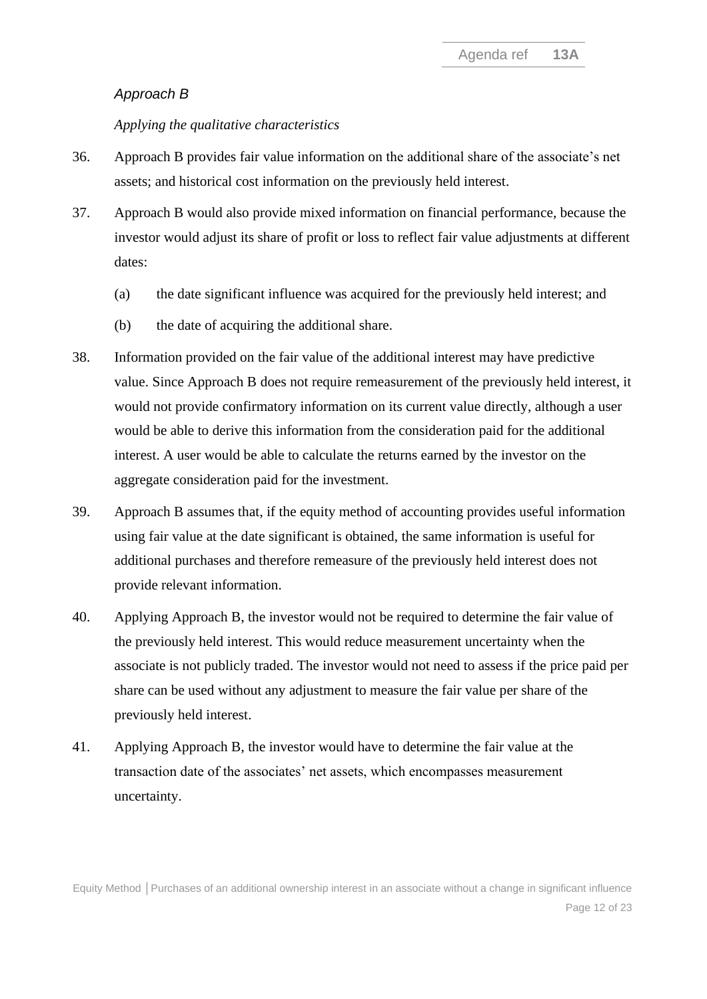#### *Approach B*

#### *Applying the qualitative characteristics*

- <span id="page-11-0"></span>36. Approach B provides fair value information on the additional share of the associate's net assets; and historical cost information on the previously held interest.
- 37. Approach B would also provide mixed information on financial performance, because the investor would adjust its share of profit or loss to reflect fair value adjustments at different dates:
	- (a) the date significant influence was acquired for the previously held interest; and
	- (b) the date of acquiring the additional share.
- 38. Information provided on the fair value of the additional interest may have predictive value. Since Approach B does not require remeasurement of the previously held interest, it would not provide confirmatory information on its current value directly, although a user would be able to derive this information from the consideration paid for the additional interest. A user would be able to calculate the returns earned by the investor on the aggregate consideration paid for the investment.
- 39. Approach B assumes that, if the equity method of accounting provides useful information using fair value at the date significant is obtained, the same information is useful for additional purchases and therefore remeasure of the previously held interest does not provide relevant information.
- 40. Applying Approach B, the investor would not be required to determine the fair value of the previously held interest. This would reduce measurement uncertainty when the associate is not publicly traded. The investor would not need to assess if the price paid per share can be used without any adjustment to measure the fair value per share of the previously held interest.
- 41. Applying Approach B, the investor would have to determine the fair value at the transaction date of the associates' net assets, which encompasses measurement uncertainty.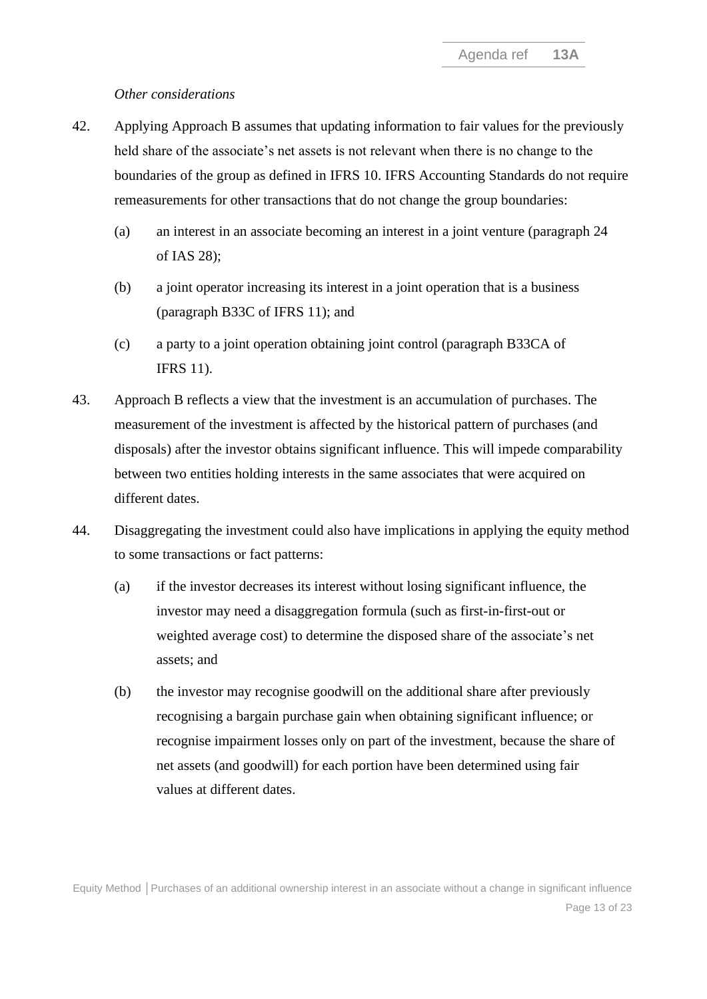#### *Other considerations*

- 42. Applying Approach B assumes that updating information to fair values for the previously held share of the associate's net assets is not relevant when there is no change to the boundaries of the group as defined in IFRS 10. IFRS Accounting Standards do not require remeasurements for other transactions that do not change the group boundaries:
	- (a) an interest in an associate becoming an interest in a joint venture (paragraph 24 of IAS 28);
	- (b) a joint operator increasing its interest in a joint operation that is a business (paragraph B33C of IFRS 11); and
	- (c) a party to a joint operation obtaining joint control (paragraph B33CA of IFRS 11).
- 43. Approach B reflects a view that the investment is an accumulation of purchases. The measurement of the investment is affected by the historical pattern of purchases (and disposals) after the investor obtains significant influence. This will impede comparability between two entities holding interests in the same associates that were acquired on different dates.
- <span id="page-12-0"></span>44. Disaggregating the investment could also have implications in applying the equity method to some transactions or fact patterns:
	- (a) if the investor decreases its interest without losing significant influence, the investor may need a disaggregation formula (such as first-in-first-out or weighted average cost) to determine the disposed share of the associate's net assets; and
	- (b) the investor may recognise goodwill on the additional share after previously recognising a bargain purchase gain when obtaining significant influence; or recognise impairment losses only on part of the investment, because the share of net assets (and goodwill) for each portion have been determined using fair values at different dates.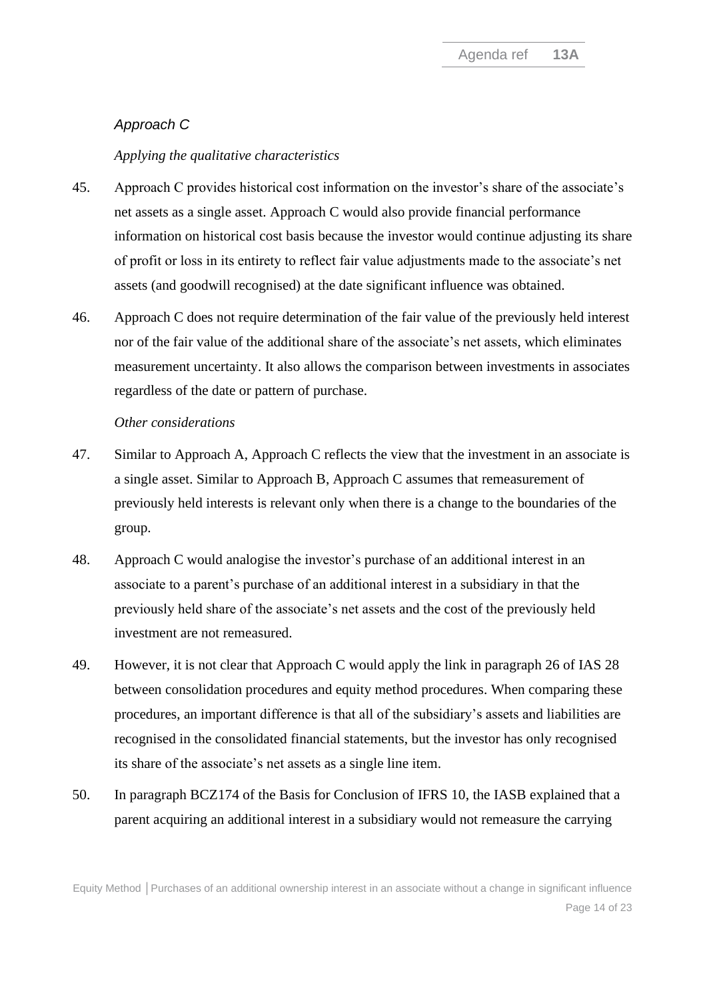## *Approach C*

#### *Applying the qualitative characteristics*

- <span id="page-13-1"></span>45. Approach C provides historical cost information on the investor's share of the associate's net assets as a single asset. Approach C would also provide financial performance information on historical cost basis because the investor would continue adjusting its share of profit or loss in its entirety to reflect fair value adjustments made to the associate's net assets (and goodwill recognised) at the date significant influence was obtained.
- 46. Approach C does not require determination of the fair value of the previously held interest nor of the fair value of the additional share of the associate's net assets, which eliminates measurement uncertainty. It also allows the comparison between investments in associates regardless of the date or pattern of purchase.

#### *Other considerations*

- 47. Similar to Approach A, Approach C reflects the view that the investment in an associate is a single asset. Similar to Approach B, Approach C assumes that remeasurement of previously held interests is relevant only when there is a change to the boundaries of the group.
- 48. Approach C would analogise the investor's purchase of an additional interest in an associate to a parent's purchase of an additional interest in a subsidiary in that the previously held share of the associate's net assets and the cost of the previously held investment are not remeasured.
- 49. However, it is not clear that Approach C would apply the link in paragraph 26 of IAS 28 between consolidation procedures and equity method procedures. When comparing these procedures, an important difference is that all of the subsidiary's assets and liabilities are recognised in the consolidated financial statements, but the investor has only recognised its share of the associate's net assets as a single line item.
- <span id="page-13-0"></span>50. In paragraph BCZ174 of the Basis for Conclusion of IFRS 10, the IASB explained that a parent acquiring an additional interest in a subsidiary would not remeasure the carrying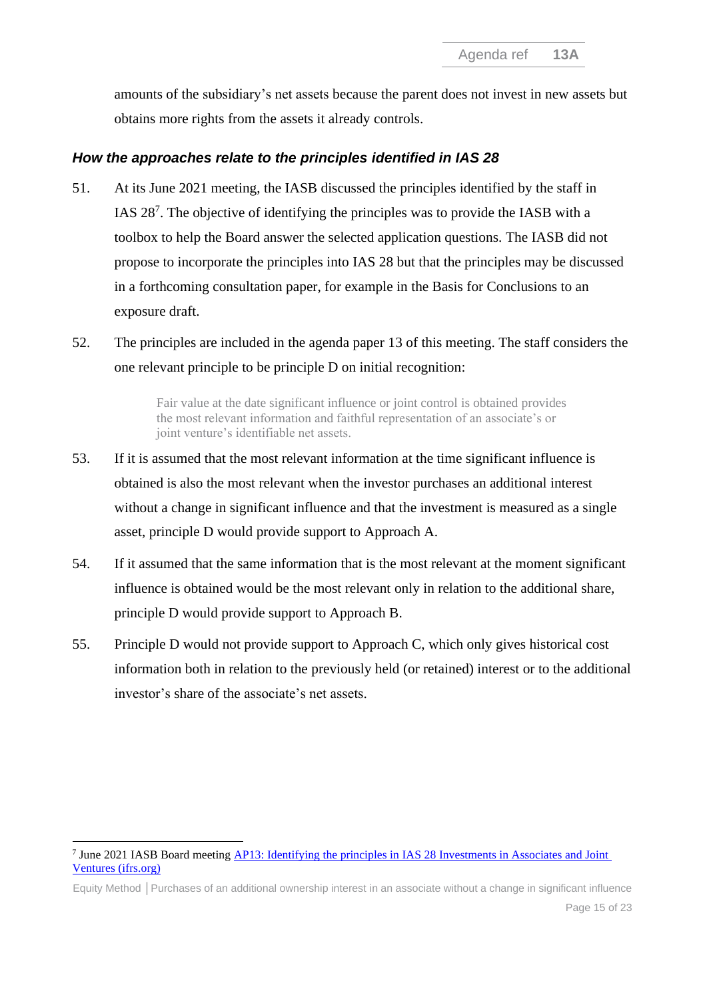amounts of the subsidiary's net assets because the parent does not invest in new assets but obtains more rights from the assets it already controls.

## *How the approaches relate to the principles identified in IAS 28*

- <span id="page-14-1"></span>51. At its June 2021 meeting, the IASB discussed the principles identified by the staff in IAS 28<sup>7</sup> . The objective of identifying the principles was to provide the IASB with a toolbox to help the Board answer the selected application questions. The IASB did not propose to incorporate the principles into IAS 28 but that the principles may be discussed in a forthcoming consultation paper, for example in the Basis for Conclusions to an exposure draft.
- 52. The principles are included in the agenda paper 13 of this meeting. The staff considers the one relevant principle to be principle D on initial recognition:

Fair value at the date significant influence or joint control is obtained provides the most relevant information and faithful representation of an associate's or joint venture's identifiable net assets.

- 53. If it is assumed that the most relevant information at the time significant influence is obtained is also the most relevant when the investor purchases an additional interest without a change in significant influence and that the investment is measured as a single asset, principle D would provide support to Approach A.
- 54. If it assumed that the same information that is the most relevant at the moment significant influence is obtained would be the most relevant only in relation to the additional share, principle D would provide support to Approach B.
- <span id="page-14-0"></span>55. Principle D would not provide support to Approach C, which only gives historical cost information both in relation to the previously held (or retained) interest or to the additional investor's share of the associate's net assets.

<sup>&</sup>lt;sup>7</sup> June 2021 IASB Board meeting **AP13:** Identifying the principles in IAS 28 Investments in Associates and Joint [Ventures \(ifrs.org\)](https://www.ifrs.org/content/dam/ifrs/meetings/2021/june/iasb/ap13-identifying-the-principles-in-ias-28-investments-in-associates-and-joint-ventures.pdf)

Equity Method **│**Purchases of an additional ownership interest in an associate without a change in significant influence Page 15 of 23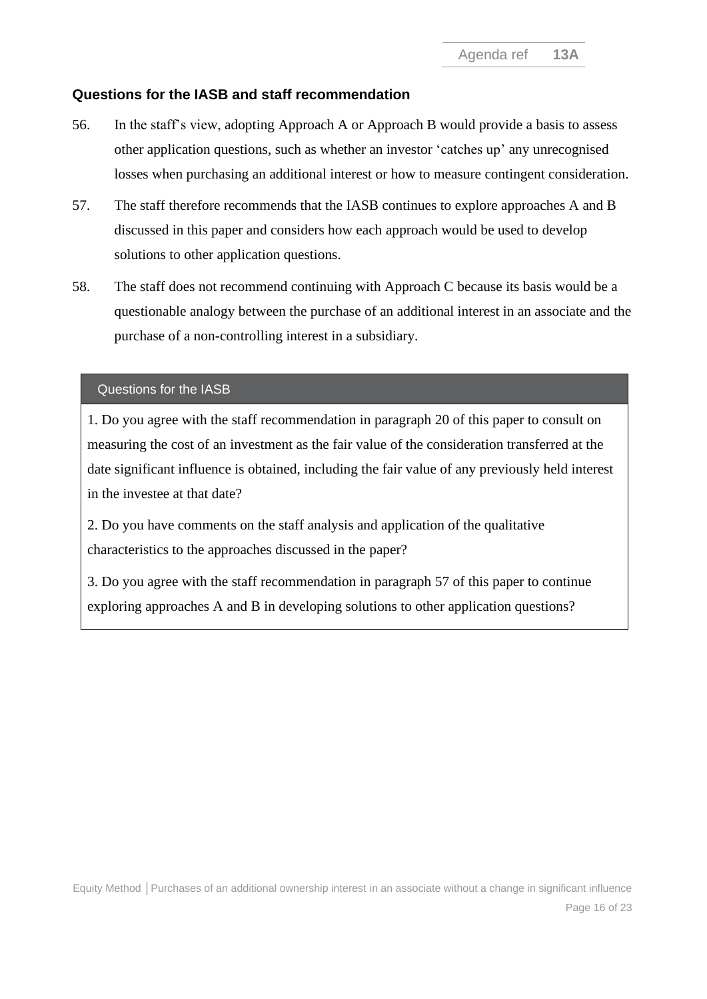### **Questions for the IASB and staff recommendation**

- <span id="page-15-0"></span>56. In the staff's view, adopting Approach A or Approach B would provide a basis to assess other application questions, such as whether an investor 'catches up' any unrecognised losses when purchasing an additional interest or how to measure contingent consideration.
- <span id="page-15-2"></span>57. The staff therefore recommends that the IASB continues to explore approaches A and B discussed in this paper and considers how each approach would be used to develop solutions to other application questions.
- <span id="page-15-1"></span>58. The staff does not recommend continuing with Approach C because its basis would be a questionable analogy between the purchase of an additional interest in an associate and the purchase of a non-controlling interest in a subsidiary.

#### Questions for the IASB

1. Do you agree with the staff recommendation in paragraph [20](#page-6-0) of this paper to consult on measuring the cost of an investment as the fair value of the consideration transferred at the date significant influence is obtained, including the fair value of any previously held interest in the investee at that date?

2. Do you have comments on the staff analysis and application of the qualitative characteristics to the approaches discussed in the paper?

3. Do you agree with the staff recommendation in paragraph [57](#page-15-2) of this paper to continue exploring approaches A and B in developing solutions to other application questions?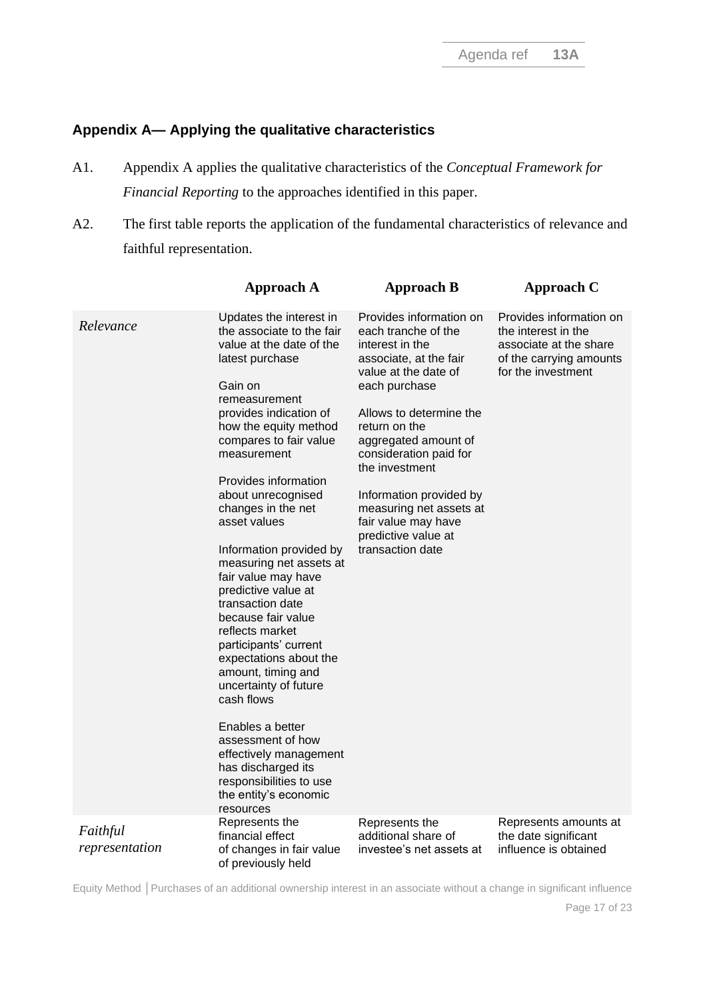## **Appendix A— Applying the qualitative characteristics**

- A1. Appendix A applies the qualitative characteristics of the *Conceptual Framework for Financial Reporting* to the approaches identified in this paper.
- A2. The first table reports the application of the fundamental characteristics of relevance and faithful representation.

|                            | <b>Approach A</b>                                                                                                                                                                                                                                                                                                                                                                                                                                                                                                                                                                                                                                                                                                                                          | <b>Approach B</b>                                                                                                                                                                                                                                                                                                                                                            | Approach C                                                                                                                |
|----------------------------|------------------------------------------------------------------------------------------------------------------------------------------------------------------------------------------------------------------------------------------------------------------------------------------------------------------------------------------------------------------------------------------------------------------------------------------------------------------------------------------------------------------------------------------------------------------------------------------------------------------------------------------------------------------------------------------------------------------------------------------------------------|------------------------------------------------------------------------------------------------------------------------------------------------------------------------------------------------------------------------------------------------------------------------------------------------------------------------------------------------------------------------------|---------------------------------------------------------------------------------------------------------------------------|
| Relevance                  | Updates the interest in<br>the associate to the fair<br>value at the date of the<br>latest purchase<br>Gain on<br>remeasurement<br>provides indication of<br>how the equity method<br>compares to fair value<br>measurement<br>Provides information<br>about unrecognised<br>changes in the net<br>asset values<br>Information provided by<br>measuring net assets at<br>fair value may have<br>predictive value at<br>transaction date<br>because fair value<br>reflects market<br>participants' current<br>expectations about the<br>amount, timing and<br>uncertainty of future<br>cash flows<br>Enables a better<br>assessment of how<br>effectively management<br>has discharged its<br>responsibilities to use<br>the entity's economic<br>resources | Provides information on<br>each tranche of the<br>interest in the<br>associate, at the fair<br>value at the date of<br>each purchase<br>Allows to determine the<br>return on the<br>aggregated amount of<br>consideration paid for<br>the investment<br>Information provided by<br>measuring net assets at<br>fair value may have<br>predictive value at<br>transaction date | Provides information on<br>the interest in the<br>associate at the share<br>of the carrying amounts<br>for the investment |
| Faithful<br>representation | Represents the<br>financial effect<br>of changes in fair value<br>of previously held                                                                                                                                                                                                                                                                                                                                                                                                                                                                                                                                                                                                                                                                       | Represents the<br>additional share of<br>investee's net assets at                                                                                                                                                                                                                                                                                                            | Represents amounts at<br>the date significant<br>influence is obtained                                                    |

Equity Method **│**Purchases of an additional ownership interest in an associate without a change in significant influence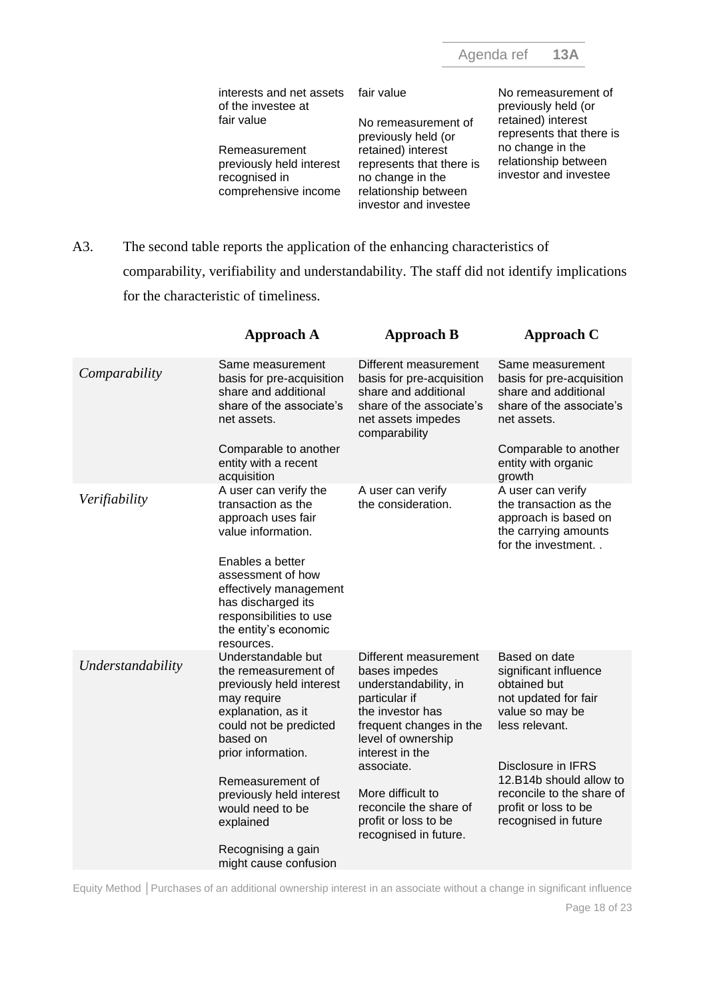| interests and net assets fair value<br>of the investee at  |                                                                    | No remeasurement of<br>previously held (or                        |
|------------------------------------------------------------|--------------------------------------------------------------------|-------------------------------------------------------------------|
| fair value                                                 | No remeasurement of<br>previously held (or                         | retained) interest<br>represents that there is                    |
| Remeasurement<br>previously held interest<br>recognised in | retained) interest<br>represents that there is<br>no change in the | no change in the<br>relationship between<br>investor and investee |
| comprehensive income                                       | relationship between<br>investor and investee                      |                                                                   |

A3. The second table reports the application of the enhancing characteristics of comparability, verifiability and understandability. The staff did not identify implications for the characteristic of timeliness.

|                   | <b>Approach A</b>                                                                                                                                                                | <b>Approach B</b>                                                                                                                                                        | Approach C                                                                                                                                                       |
|-------------------|----------------------------------------------------------------------------------------------------------------------------------------------------------------------------------|--------------------------------------------------------------------------------------------------------------------------------------------------------------------------|------------------------------------------------------------------------------------------------------------------------------------------------------------------|
| Comparability     | Same measurement<br>basis for pre-acquisition<br>share and additional<br>share of the associate's<br>net assets.<br>Comparable to another<br>entity with a recent                | Different measurement<br>basis for pre-acquisition<br>share and additional<br>share of the associate's<br>net assets impedes<br>comparability                            | Same measurement<br>basis for pre-acquisition<br>share and additional<br>share of the associate's<br>net assets.<br>Comparable to another<br>entity with organic |
|                   | acquisition                                                                                                                                                                      |                                                                                                                                                                          | growth                                                                                                                                                           |
| Verifiability     | A user can verify the<br>transaction as the<br>approach uses fair<br>value information.<br>Enables a better<br>assessment of how<br>effectively management<br>has discharged its | A user can verify<br>the consideration.                                                                                                                                  | A user can verify<br>the transaction as the<br>approach is based on<br>the carrying amounts<br>for the investment                                                |
|                   | responsibilities to use<br>the entity's economic<br>resources.                                                                                                                   |                                                                                                                                                                          |                                                                                                                                                                  |
| Understandability | Understandable but<br>the remeasurement of<br>previously held interest<br>may require<br>explanation, as it<br>could not be predicted<br>based on<br>prior information.          | Different measurement<br>bases impedes<br>understandability, in<br>particular if<br>the investor has<br>frequent changes in the<br>level of ownership<br>interest in the | Based on date<br>significant influence<br>obtained but<br>not updated for fair<br>value so may be<br>less relevant.                                              |
|                   |                                                                                                                                                                                  | associate.                                                                                                                                                               | Disclosure in IFRS                                                                                                                                               |
|                   | Remeasurement of<br>previously held interest<br>would need to be<br>explained                                                                                                    | More difficult to<br>reconcile the share of<br>profit or loss to be<br>recognised in future.                                                                             | 12.B14b should allow to<br>reconcile to the share of<br>profit or loss to be<br>recognised in future                                                             |
|                   | Recognising a gain<br>might cause confusion                                                                                                                                      |                                                                                                                                                                          |                                                                                                                                                                  |
|                   |                                                                                                                                                                                  |                                                                                                                                                                          |                                                                                                                                                                  |

Equity Method **│**Purchases of an additional ownership interest in an associate without a change in significant influence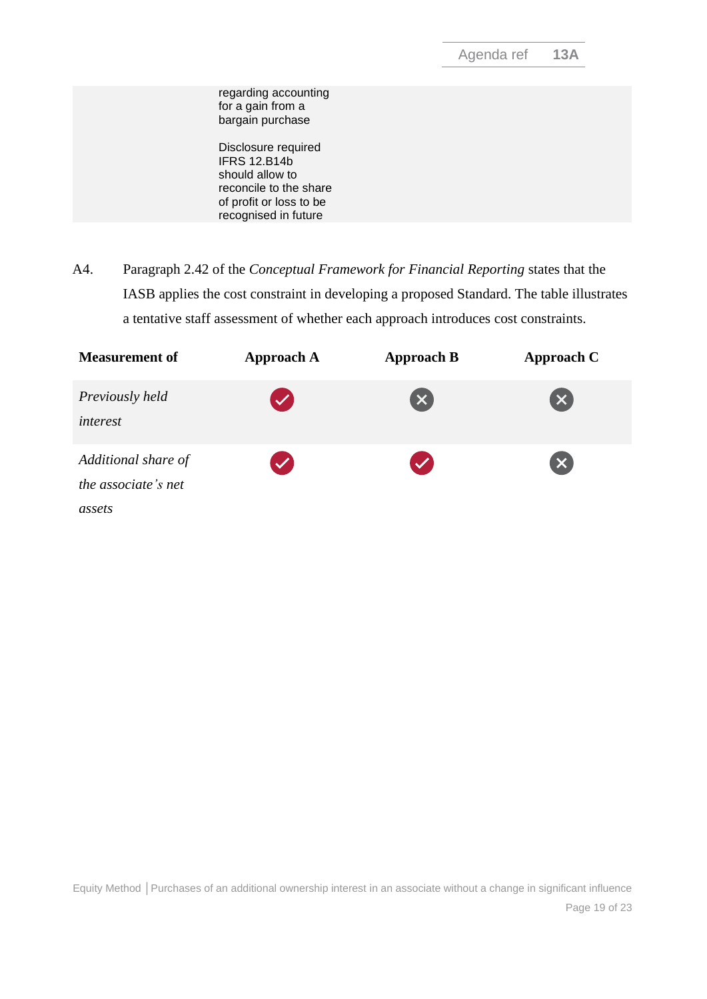| regarding accounting<br>for a gain from a<br>bargain purchase<br>Disclosure required<br><b>IFRS 12.B14b</b><br>should allow to<br>reconcile to the share<br>of profit or loss to be<br>recognised in future |  |
|-------------------------------------------------------------------------------------------------------------------------------------------------------------------------------------------------------------|--|
|                                                                                                                                                                                                             |  |
|                                                                                                                                                                                                             |  |

A4. Paragraph 2.42 of the *Conceptual Framework for Financial Reporting* states that the IASB applies the cost constraint in developing a proposed Standard. The table illustrates a tentative staff assessment of whether each approach introduces cost constraints.

| <b>Measurement of</b>                                | <b>Approach A</b>    | <b>Approach B</b>         | Approach C                |  |
|------------------------------------------------------|----------------------|---------------------------|---------------------------|--|
| Previously held<br>interest                          | $\blacktriangledown$ | $\left[\mathsf{x}\right]$ | $\boldsymbol{\mathsf{x}}$ |  |
| Additional share of<br>the associate's net<br>assets | $\checkmark$         | $\checkmark$              | $\boldsymbol{\mathsf{x}}$ |  |

Equity Method **│**Purchases of an additional ownership interest in an associate without a change in significant influence Page 19 of 23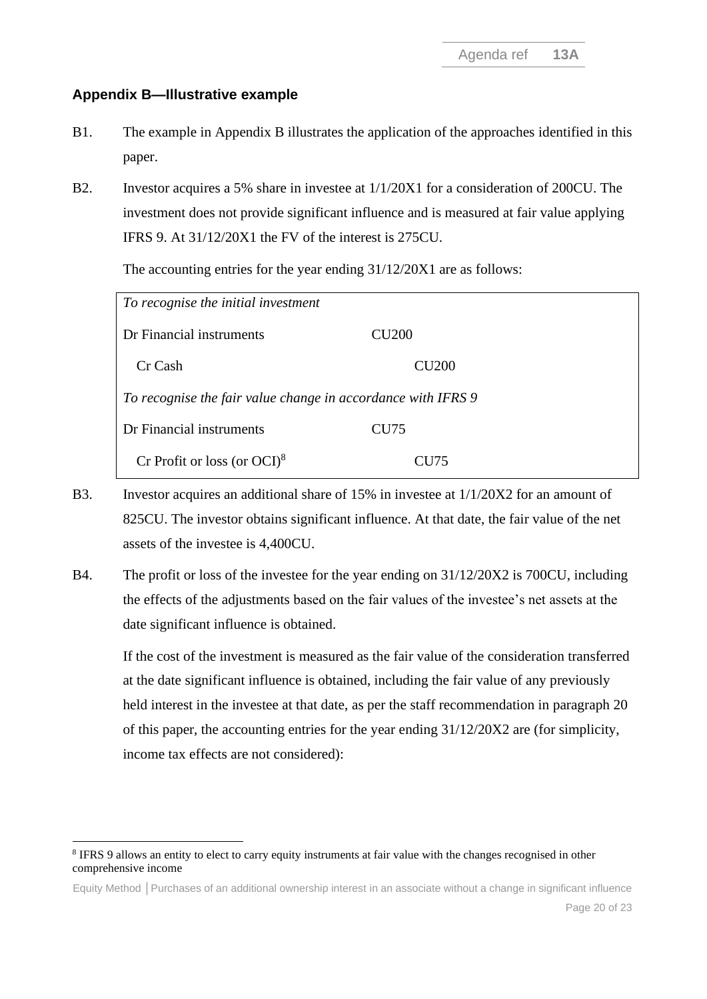## **Appendix B—Illustrative example**

- B1. The example in Appendix B illustrates the application of the approaches identified in this paper.
- B2. Investor acquires a 5% share in investee at 1/1/20X1 for a consideration of 200CU. The investment does not provide significant influence and is measured at fair value applying IFRS 9. At 31/12/20X1 the FV of the interest is 275CU.

The accounting entries for the year ending 31/12/20X1 are as follows:

| To recognise the initial investment                          |                  |  |
|--------------------------------------------------------------|------------------|--|
| Dr Financial instruments                                     | <b>CU200</b>     |  |
| Cr Cash                                                      | <b>CU200</b>     |  |
| To recognise the fair value change in accordance with IFRS 9 |                  |  |
| Dr Financial instruments                                     | CU <sub>75</sub> |  |
| Cr Profit or loss (or $OCI$ ) <sup>8</sup>                   | CU 175           |  |

- B3. Investor acquires an additional share of 15% in investee at 1/1/20X2 for an amount of 825CU. The investor obtains significant influence. At that date, the fair value of the net assets of the investee is 4,400CU.
- B4. The profit or loss of the investee for the year ending on 31/12/20X2 is 700CU, including the effects of the adjustments based on the fair values of the investee's net assets at the date significant influence is obtained.

If the cost of the investment is measured as the fair value of the consideration transferred at the date significant influence is obtained, including the fair value of any previously held interest in the investee at that date, as per the staff recommendation in paragraph [20](#page-6-0) of this paper, the accounting entries for the year ending 31/12/20X2 are (for simplicity, income tax effects are not considered):

<sup>&</sup>lt;sup>8</sup> IFRS 9 allows an entity to elect to carry equity instruments at fair value with the changes recognised in other comprehensive income

Equity Method **│**Purchases of an additional ownership interest in an associate without a change in significant influence Page 20 of 23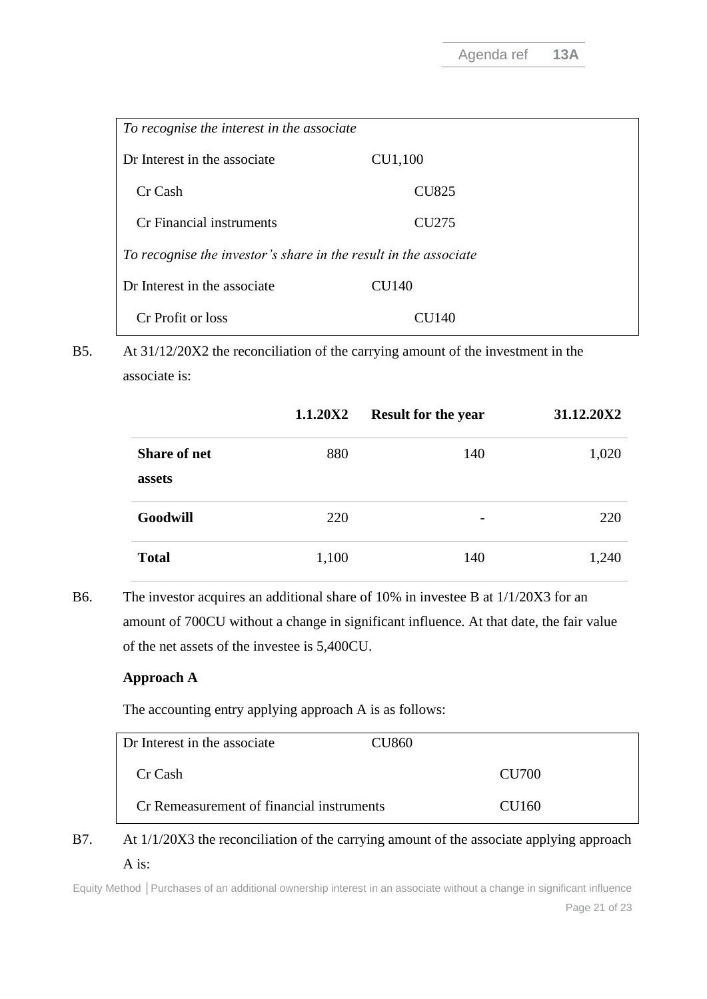| To recognise the interest in the associate                       |                   |  |
|------------------------------------------------------------------|-------------------|--|
| Dr Interest in the associate                                     | CU1,100           |  |
| Cr Cash                                                          | <b>CU825</b>      |  |
| Cr Financial instruments                                         | CU <sub>275</sub> |  |
| To recognise the investor's share in the result in the associate |                   |  |
| Dr Interest in the associate                                     | CU140             |  |
| Cr Profit or loss                                                | CU 140            |  |

B5. At 31/12/20X2 the reconciliation of the carrying amount of the investment in the associate is:

|                               | 1.1.20X2 | <b>Result for the year</b> | 31.12.20X2 |
|-------------------------------|----------|----------------------------|------------|
| <b>Share of net</b><br>assets | 880      | 140                        | 1,020      |
| Goodwill                      | 220      |                            | 220        |
| <b>Total</b>                  | 1,100    | 140                        | 1,240      |

B6. The investor acquires an additional share of 10% in investee B at 1/1/20X3 for an amount of 700CU without a change in significant influence. At that date, the fair value of the net assets of the investee is 5,400CU.

#### **Approach A**

The accounting entry applying approach A is as follows:

| Dr Interest in the associate              | CU860- |
|-------------------------------------------|--------|
| Cr Cash                                   | CU700  |
| Cr Remeasurement of financial instruments | CU160  |

## B7. At  $1/1/20X3$  the reconciliation of the carrying amount of the associate applying approach A is:

Equity Method **│**Purchases of an additional ownership interest in an associate without a change in significant influence Page 21 of 23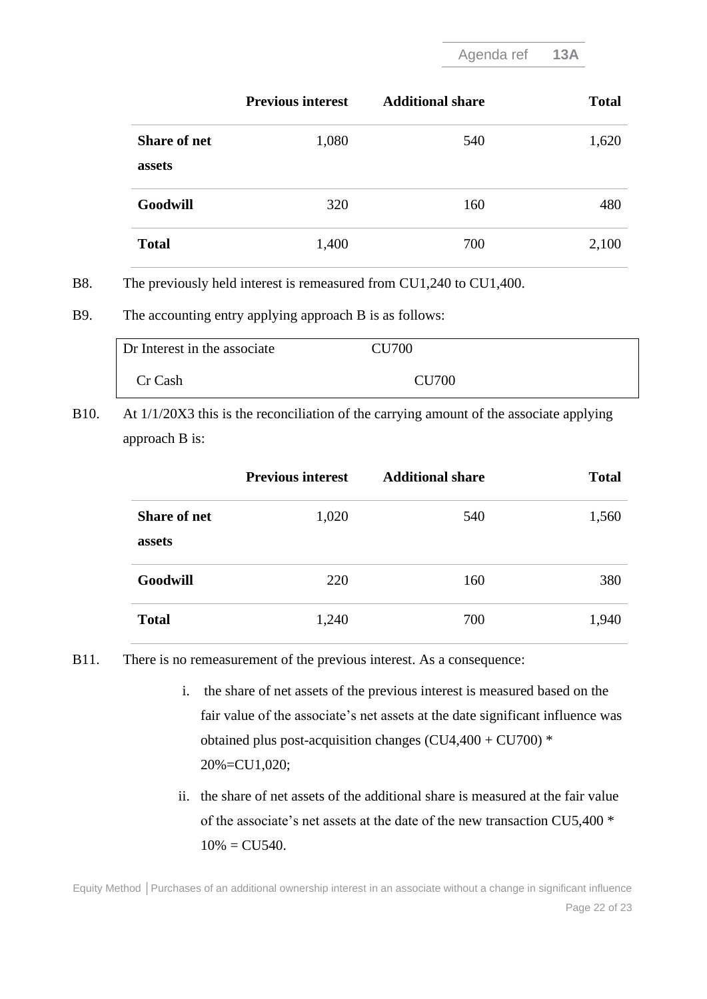Agenda ref **13A**

|                               | <b>Previous interest</b> | <b>Additional share</b> | <b>Total</b> |
|-------------------------------|--------------------------|-------------------------|--------------|
| <b>Share of net</b><br>assets | 1,080                    | 540                     | 1,620        |
| Goodwill                      | 320                      | 160                     | 480          |
| <b>Total</b>                  | 1,400                    | 700                     | 2,100        |

B8. The previously held interest is remeasured from CU1,240 to CU1,400.

B9. The accounting entry applying approach B is as follows:

| Dr Interest in the associate | <b>CU700</b> |
|------------------------------|--------------|
| Cr Cash                      | <b>CU700</b> |

B10. At 1/1/20X3 this is the reconciliation of the carrying amount of the associate applying approach B is:

|                               | <b>Previous interest</b> | <b>Additional share</b> | <b>Total</b> |
|-------------------------------|--------------------------|-------------------------|--------------|
| <b>Share of net</b><br>assets | 1,020                    | 540                     | 1,560        |
| Goodwill                      | 220                      | 160                     | 380          |
| <b>Total</b>                  | 1,240                    | 700                     | 1,940        |

- B11. There is no remeasurement of the previous interest. As a consequence:
	- i. the share of net assets of the previous interest is measured based on the fair value of the associate's net assets at the date significant influence was obtained plus post-acquisition changes (CU4,400 + CU700) \* 20%=CU1,020;
	- ii. the share of net assets of the additional share is measured at the fair value of the associate's net assets at the date of the new transaction CU5,400 \*  $10\% = CU540.$